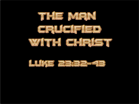

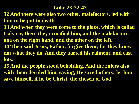### **Luke 23:32-43**

- **32 And there were also two other, malefactors, led with him to be put to death.**
- **33 And when they were come to the place, which is called Calvary, there they crucified him, and the malefactors, one on the right hand, and the other on the left.**
- **34 Then said Jesus, Father, forgive them; for they know not what they do. And they parted his raiment, and cast lots.**
- **35 And the people stood beholding. And the rulers also with them derided him, saying, He saved others; let him save himself, if he be Christ, the chosen of God.**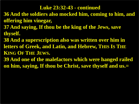### **Luke 23:32-43 - continued**

- **36 And the soldiers also mocked him, coming to him, and offering him vinegar,**
- **37 And saying, If thou be the king of the Jews, save thyself.**
- **38 And a superscription also was written over him in letters of Greek, and Latin, and Hebrew, THIS IS THE KING OF THE JEWS.**
- **39 And one of the malefactors which were hanged railed on him, saying, If thou be Christ, save thyself and us.=**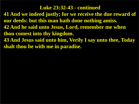#### **Luke 23:32-43 - continued**

**41 And we indeed justly; for we receive the due reward of our deeds: but this man hath done nothing amiss. 42 And he said unto Jesus, Lord, remember me when thou comest into thy kingdom. 43 And Jesus said unto him, Verily I say unto thee, Today shalt thou be with me in paradise.**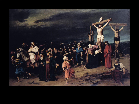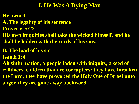# **I. He Was A Dying Man**

- **He owned… A. The legality of his sentence Proverbs 5:22 His own iniquities shall take the wicked himself, and he shall be holden with the cords of his sins.**
- **B. The load of his sin**
- **Isaiah 1:4**
- **Ah sinful nation, a people laden with iniquity, a seed of evildoers, children that are corrupters: they have forsaken the Lord, they have provoked the Holy One of Israel unto anger, they are gone away backward.**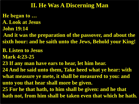## **II. He Was A Discerning Man**

- **He began to …**
- **A. Look at Jesus**
- **John 19:14**
- **And it was the preparation of the passover, and about the sixth hour: and he saith unto the Jews, Behold your King!**
- **B. Listen to Jesus**
- **Mark 4:23-25**
- **23 If any man have ears to hear, let him hear.**
- **24 And he said unto them, Take heed what ye hear: with what measure ye mete, it shall be measured to you: and unto you that hear shall more be given.**
- **25 For he that hath, to him shall be given: and he that hath not, from him shall be taken even that which he hath.**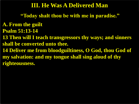## **III. He Was A Delivered Man**

**"Today shalt thou be with me in paradise."**

**A. From the guilt**

**Psalm 51:13-14**

**13 Then will I teach transgressors thy ways; and sinners shall be converted unto thee.**

**14 Deliver me from bloodguiltiness, O God, thou God of my salvation: and my tongue shall sing aloud of thy righteousness.**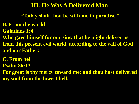## **III. He Was A Delivered Man**

**"Today shalt thou be with me in paradise."**

**B. From the world**

**Galatians 1:4**

**Who gave himself for our sins, that he might deliver us from this present evil world, according to the will of God and our Father:**

**C. From hell Psalm 86:13**

**For great is thy mercy toward me: and thou hast delivered my soul from the lowest hell.**